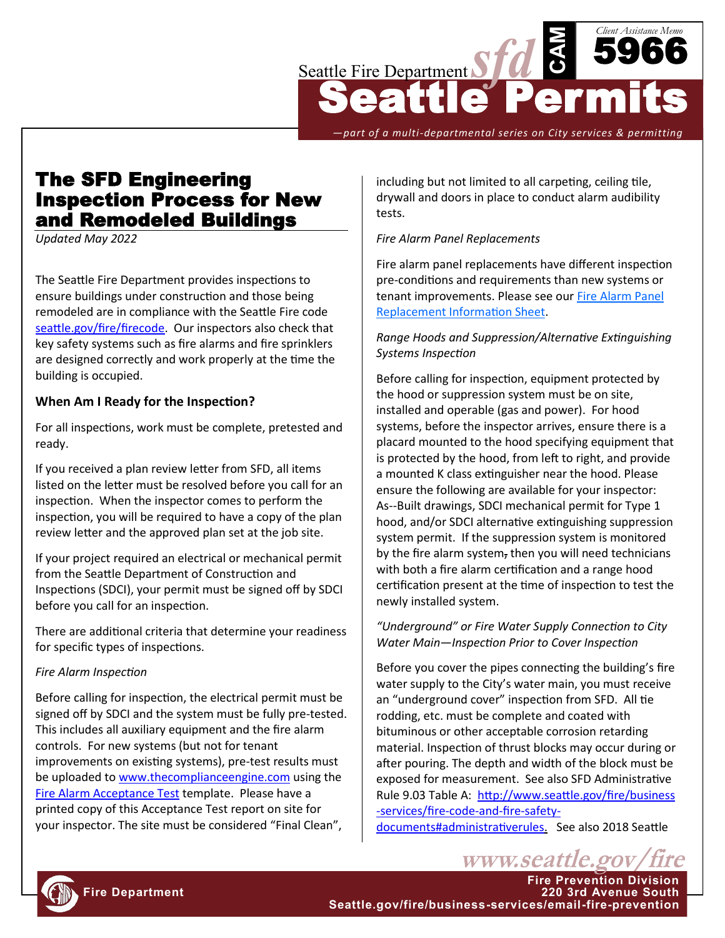

*—part of a multi-departmental series on City services & permitting*

# The SFD Engineering Inspection Process for New and Remodeled Buildings

*Updated May 2022*

The Seattle Fire Department provides inspections to ensure buildings under construction and those being remodeled are in compliance with the Seattle Fire code [seattle.gov/fire/firecode.](http://www.seattle.gov/fire/business-services/fire-code-and-fire-safety-documents) Our inspectors also check that key safety systems such as fire alarms and fire sprinklers are designed correctly and work properly at the time the building is occupied.

### **When Am I Ready for the Inspection?**

For all inspections, work must be complete, pretested and ready.

If you received a plan review letter from SFD, all items listed on the letter must be resolved before you call for an inspection. When the inspector comes to perform the inspection, you will be required to have a copy of the plan review letter and the approved plan set at the job site.

If your project required an electrical or mechanical permit from the Seattle Department of Construction and Inspections (SDCI), your permit must be signed off by SDCI before you call for an inspection.

There are additional criteria that determine your readiness for specific types of inspections.

#### *Fire Alarm Inspection*

Before calling for inspection, the electrical permit must be signed off by SDCI and the system must be fully pre-tested. This includes all auxiliary equipment and the fire alarm controls. For new systems (but not for tenant improvements on existing systems), pre-test results must be uploaded to [www.thecomplianceengine.com](http://www.thecomplianceengine.com) using the [Fire Alarm Acceptance Test](http://seattle.gov/documents/Departments/Fire/Business/Acceptance%20Test%20FAQs.pdf) template. Please have a printed copy of this Acceptance Test report on site for your inspector. The site must be considered "Final Clean",

including but not limited to all carpeting, ceiling tile, drywall and doors in place to conduct alarm audibility tests.

### *Fire Alarm Panel Replacements*

Fire alarm panel replacements have different inspection pre-conditions and requirements than new systems or tenant improvements. Please see our [Fire Alarm Panel](http://seattle.gov/documents/Departments/Fire/Business/FireAlarmPanelReplacementsInfoSheet.pdf)  [Replacement Information Sheet.](http://seattle.gov/documents/Departments/Fire/Business/FireAlarmPanelReplacementsInfoSheet.pdf)

### *Range Hoods and Suppression/Alternative Extinguishing Systems Inspection*

Before calling for inspection, equipment protected by the hood or suppression system must be on site, installed and operable (gas and power). For hood systems, before the inspector arrives, ensure there is a placard mounted to the hood specifying equipment that is protected by the hood, from left to right, and provide a mounted K class extinguisher near the hood. Please ensure the following are available for your inspector: As--Built drawings, SDCI mechanical permit for Type 1 hood, and/or SDCI alternative extinguishing suppression system permit. If the suppression system is monitored by the fire alarm system, then you will need technicians with both a fire alarm certification and a range hood certification present at the time of inspection to test the newly installed system.

### *"Underground" or Fire Water Supply Connection to City Water Main—Inspection Prior to Cover Inspection*

Before you cover the pipes connecting the building's fire water supply to the City's water main, you must receive an "underground cover" inspection from SFD. All tie rodding, etc. must be complete and coated with bituminous or other acceptable corrosion retarding material. Inspection of thrust blocks may occur during or after pouring. The depth and width of the block must be exposed for measurement. See also SFD Administrative Rule 9.03 Table A: [http://www.seattle.gov/fire/business](http://www.seattle.gov/fire/business-services/fire-code-and-fire-safety-documents#administrativerules) -[services/fire](http://www.seattle.gov/fire/business-services/fire-code-and-fire-safety-documents#administrativerules)-code-and-fire-safety-

[documents#administrativerules.](http://www.seattle.gov/fire/business-services/fire-code-and-fire-safety-documents#administrativerules) See also 2018 Seattle

www.seattle.gov

**Fire Prevention Division**



**Fire Department 220 3rd Avenue South Seattle.gov/fire/business-services/email-fire-prevention**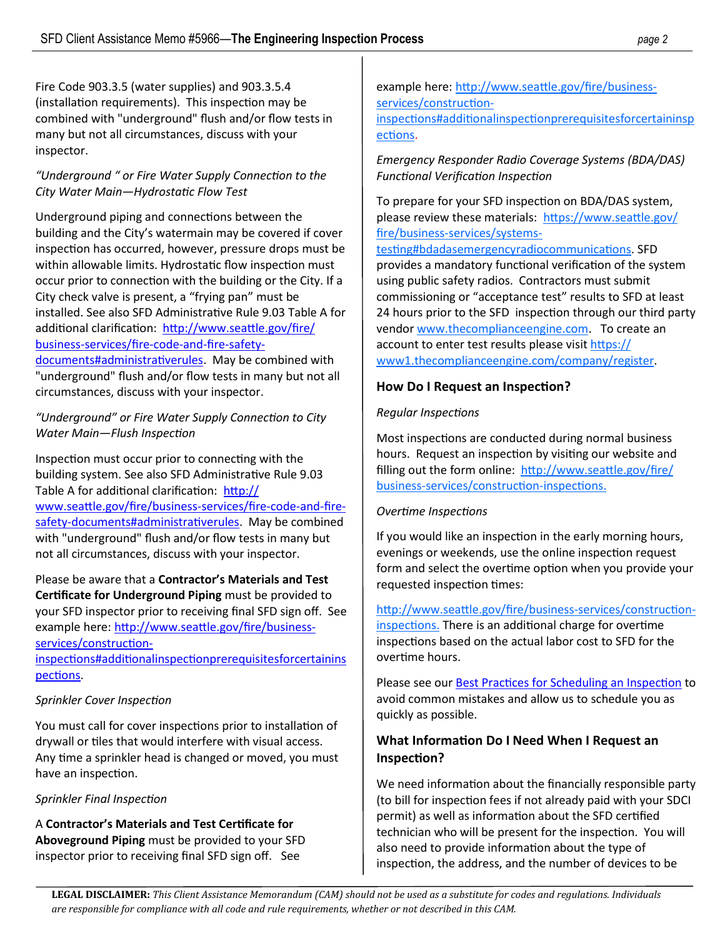Fire Code 903.3.5 (water supplies) and 903.3.5.4 (installation requirements). This inspection may be combined with "underground" flush and/or flow tests in many but not all circumstances, discuss with your inspector.

### *"Underground " or Fire Water Supply Connection to the City Water Main—Hydrostatic Flow Test*

Underground piping and connections between the building and the City's watermain may be covered if cover inspection has occurred, however, pressure drops must be within allowable limits. Hydrostatic flow inspection must occur prior to connection with the building or the City. If a City check valve is present, a "frying pan" must be installed. See also SFD Administrative Rule 9.03 Table A for additional clarification: [http://www.seattle.gov/fire/](http://www.seattle.gov/fire/business-services/fire-code-and-fire-safety-documents#administrativerules) business-[services/fire](http://www.seattle.gov/fire/business-services/fire-code-and-fire-safety-documents#administrativerules)-code-and-fire-safety[documents#administrativerules.](http://www.seattle.gov/fire/business-services/fire-code-and-fire-safety-documents#administrativerules) May be combined with "underground" flush and/or flow tests in many but not all circumstances, discuss with your inspector.

### *"Underground" or Fire Water Supply Connection to City Water Main—Flush Inspection*

Inspection must occur prior to connecting with the building system. See also SFD Administrative Rule 9.03 Table A for additional clarification: [http://](http://www.seattle.gov/fire/business-services/fire-code-and-fire-safety-documents#administrativerules) [www.seattle.gov/fire/business](http://www.seattle.gov/fire/business-services/fire-code-and-fire-safety-documents#administrativerules)-services/fire-code-and-firesafety-[documents#administrativerules.](http://www.seattle.gov/fire/business-services/fire-code-and-fire-safety-documents#administrativerules) May be combined with "underground" flush and/or flow tests in many but not all circumstances, discuss with your inspector.

Please be aware that a **Contractor's Materials and Test Certificate for Underground Piping** must be provided to your SFD inspector prior to receiving final SFD sign off. See example here: [http://www.seattle.gov/fire/business](http://www.seattle.gov/fire/business-services/construction-inspections#additionalinspectionprerequisitesforcertaininspections)[services/construction](http://www.seattle.gov/fire/business-services/construction-inspections#additionalinspectionprerequisitesforcertaininspections)-

### [inspections#additionalinspectionprerequisitesforcertainins](http://www.seattle.gov/fire/business-services/construction-inspections#additionalinspectionprerequisitesforcertaininspections) [pections.](http://www.seattle.gov/fire/business-services/construction-inspections#additionalinspectionprerequisitesforcertaininspections)

# *Sprinkler Cover Inspection*

You must call for cover inspections prior to installation of drywall or tiles that would interfere with visual access. Any time a sprinkler head is changed or moved, you must have an inspection.

### *Sprinkler Final Inspection*

A **Contractor's Materials and Test Certificate for Aboveground Piping** must be provided to your SFD inspector prior to receiving final SFD sign off. See

example here: [http://www.seattle.gov/fire/business](http://www.seattle.gov/fire/business-services/construction-inspections#additionalinspectionprerequisitesforcertaininspections)[services/construction](http://www.seattle.gov/fire/business-services/construction-inspections#additionalinspectionprerequisitesforcertaininspections)[inspections#additionalinspectionprerequisitesforcertaininsp](http://www.seattle.gov/fire/business-services/construction-inspections#additionalinspectionprerequisitesforcertaininspections) [ections.](http://www.seattle.gov/fire/business-services/construction-inspections#additionalinspectionprerequisitesforcertaininspections)

*Emergency Responder Radio Coverage Systems (BDA/DAS) Functional Verification Inspection*

To prepare for your SFD inspection on BDA/DAS system, please review these materials: [https://www.seattle.gov/](https://www.seattle.gov/fire/business-services/systems-testing#bdadasemergencyradiocommunications) fire/business-[services/systems](https://www.seattle.gov/fire/business-services/systems-testing#bdadasemergencyradiocommunications)-

[testing#bdadasemergencyradiocommunications.](https://www.seattle.gov/fire/business-services/systems-testing#bdadasemergencyradiocommunications) SFD provides a mandatory functional verification of the system using public safety radios. Contractors must submit commissioning or "acceptance test" results to SFD at least 24 hours prior to the SFD inspection through our third party vendor [www.thecomplianceengine.com.](http://www.thecomplianceengine.com) To create an account to enter test results please visit [https://](https://www1.thecomplianceengine.com/company/register) [www1.thecomplianceengine.com/company/register.](https://www1.thecomplianceengine.com/company/register)

### **How Do I Request an Inspection?**

### *Regular Inspections*

Most inspections are conducted during normal business hours. Request an inspection by visiting our website and filling out the form online: [http://www.seattle.gov/fire/](http://www.seattle.gov/fire/business-services/construction-inspections) business-[services/construction](http://www.seattle.gov/fire/business-services/construction-inspections)-inspections.

### *Overtime Inspections*

If you would like an inspection in the early morning hours, evenings or weekends, use the online inspection request form and select the overtime option when you provide your requested inspection times:

[http://www.seattle.gov/fire/business](http://www.seattle.gov/fire/business-services/construction-inspections)-services/construction[inspections.](http://www.seattle.gov/fire/business-services/construction-inspections) There is an additional charge for overtime inspections based on the actual labor cost to SFD for the overtime hours.

Please see our [Best Practices for Scheduling an Inspection](http://seattle.gov/documents/Departments/Fire/Business/SFDBestPracticesforSchedulingConstInsp.pdf) to avoid common mistakes and allow us to schedule you as quickly as possible.

# **What Information Do I Need When I Request an Inspection?**

We need information about the financially responsible party (to bill for inspection fees if not already paid with your SDCI permit) as well as information about the SFD certified technician who will be present for the inspection. You will also need to provide information about the type of inspection, the address, and the number of devices to be

**LEGAL DISCLAIMER:** *This Client Assistance Memorandum (CAM) should not be used as a substitute for codes and regulations. Individuals are responsible for compliance with all code and rule requirements, whether or not described in this CAM.*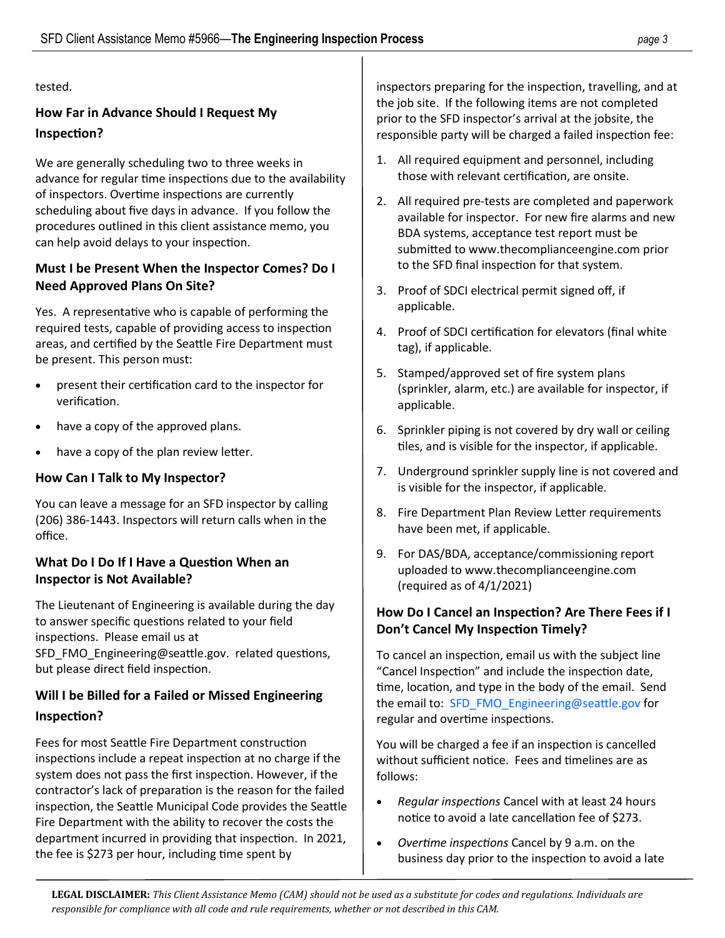tested.

# **How Far in Advance Should I Request My Inspection?**

We are generally scheduling two to three weeks in advance for regular time inspections due to the availability of inspectors. Overtime inspections are currently scheduling about five days in advance. If you follow the procedures outlined in this client assistance memo, you can help avoid delays to your inspection.

# **Must I be Present When the Inspector Comes? Do I Need Approved Plans On Site?**

Yes. A representative who is capable of performing the required tests, capable of providing access to inspection areas, and certified by the Seattle Fire Department must be present. This person must:

- present their certification card to the inspector for verification.
- have a copy of the approved plans.
- have a copy of the plan review letter.

# **How Can I Talk to My Inspector?**

You can leave a message for an SFD inspector by calling (206) 386-1443. Inspectors will return calls when in the office.

# **What Do I Do If I Have a Question When an Inspector is Not Available?**

The Lieutenant of Engineering is available during the day to answer specific questions related to your field inspections. Please email us at

[SFD\\_FMO\\_Engineering@seattle.gov.](mailto:SFD_FMO_Engineering@seattle.gov) related questions, but please direct field inspection.

# **Will I be Billed for a Failed or Missed Engineering Inspection?**

Fees for most Seattle Fire Department construction inspections include a repeat inspection at no charge if the system does not pass the first inspection. However, if the contractor's lack of preparation is the reason for the failed inspection, the Seattle Municipal Code provides the Seattle Fire Department with the ability to recover the costs the department incurred in providing that inspection. In 2021, the fee is \$273 per hour, including time spent by

inspectors preparing for the inspection, travelling, and at the job site. If the following items are not completed prior to the SFD inspector's arrival at the jobsite, the responsible party will be charged a failed inspection fee:

- 1. All required equipment and personnel, including those with relevant certification, are onsite.
- 2. All required pre-tests are completed and paperwork available for inspector. For new fire alarms and new BDA systems, acceptance test report must be submitted to www.thecomplianceengine.com prior to the SFD final inspection for that system.
- 3. Proof of SDCI electrical permit signed off, if applicable.
- 4. Proof of SDCI certification for elevators (final white tag), if applicable.
- 5. Stamped/approved set of fire system plans (sprinkler, alarm, etc.) are available for inspector, if applicable.
- 6. Sprinkler piping is not covered by dry wall or ceiling tiles, and is visible for the inspector, if applicable.
- 7. Underground sprinkler supply line is not covered and is visible for the inspector, if applicable.
- 8. Fire Department Plan Review Letter requirements have been met, if applicable.
- 9. For DAS/BDA, acceptance/commissioning report uploaded to www.thecomplianceengine.com (required as of 4/1/2021)

# **How Do I Cancel an Inspection? Are There Fees if I Don't Cancel My Inspection Timely?**

To cancel an inspection, email us with the subject line "Cancel Inspection" and include the inspection date, time, location, and type in the body of the email. Send the email to: [SFD\\_FMO\\_Engineering@seattle.gov](mailto:SFD_FMO_Engineering@seattle.gov) for regular and overtime inspections.

You will be charged a fee if an inspection is cancelled without sufficient notice. Fees and timelines are as follows:

- *Regular inspections* Cancel with at least 24 hours notice to avoid a late cancellation fee of \$273.
- *Overtime inspections* Cancel by 9 a.m. on the business day prior to the inspection to avoid a late

**LEGAL DISCLAIMER:** *This Client Assistance Memo (CAM) should not be used as a substitute for codes and regulations. Individuals are responsible for compliance with all code and rule requirements, whether or not described in this CAM.*